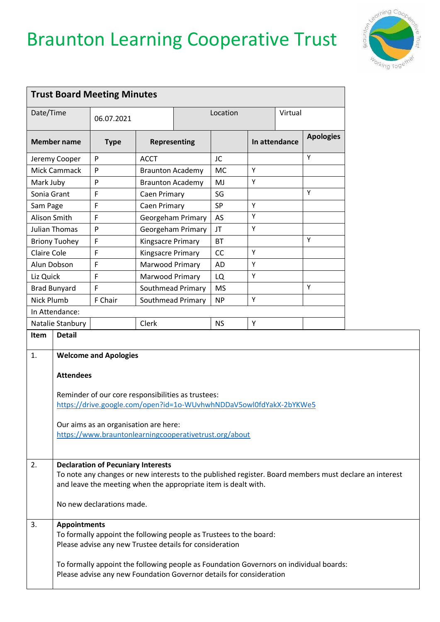## Braunton Learning Cooperative Trust



|                                 |                                                                                                                                                                                                                                                                                                                                                                                                                                                                                                      | <b>Trust Board Meeting Minutes</b>                                                                                                                                                                                          |                          |          |           |               |  |                  |  |
|---------------------------------|------------------------------------------------------------------------------------------------------------------------------------------------------------------------------------------------------------------------------------------------------------------------------------------------------------------------------------------------------------------------------------------------------------------------------------------------------------------------------------------------------|-----------------------------------------------------------------------------------------------------------------------------------------------------------------------------------------------------------------------------|--------------------------|----------|-----------|---------------|--|------------------|--|
| Date/Time<br><b>Member name</b> |                                                                                                                                                                                                                                                                                                                                                                                                                                                                                                      | 06.07.2021                                                                                                                                                                                                                  |                          | Location |           | Virtual       |  |                  |  |
|                                 |                                                                                                                                                                                                                                                                                                                                                                                                                                                                                                      | <b>Type</b>                                                                                                                                                                                                                 | <b>Representing</b>      |          |           | In attendance |  | <b>Apologies</b> |  |
| Jeremy Cooper                   |                                                                                                                                                                                                                                                                                                                                                                                                                                                                                                      | P                                                                                                                                                                                                                           | <b>ACCT</b>              |          | JC        |               |  | Y                |  |
| Mick Cammack<br>P               |                                                                                                                                                                                                                                                                                                                                                                                                                                                                                                      |                                                                                                                                                                                                                             | <b>Braunton Academy</b>  |          | <b>MC</b> | Y             |  |                  |  |
| Mark Juby                       |                                                                                                                                                                                                                                                                                                                                                                                                                                                                                                      | P                                                                                                                                                                                                                           | <b>Braunton Academy</b>  |          | MJ        | Υ             |  |                  |  |
| Sonia Grant                     |                                                                                                                                                                                                                                                                                                                                                                                                                                                                                                      | F                                                                                                                                                                                                                           | Caen Primary             |          | SG        |               |  | Y                |  |
| Sam Page                        |                                                                                                                                                                                                                                                                                                                                                                                                                                                                                                      | F                                                                                                                                                                                                                           | Caen Primary             |          | SP        | Y             |  |                  |  |
| Alison Smith                    |                                                                                                                                                                                                                                                                                                                                                                                                                                                                                                      | F                                                                                                                                                                                                                           | Georgeham Primary        |          | AS        | Y             |  |                  |  |
| Julian Thomas                   |                                                                                                                                                                                                                                                                                                                                                                                                                                                                                                      | P                                                                                                                                                                                                                           | Georgeham Primary        |          | JT        | Υ             |  |                  |  |
| <b>Briony Tuohey</b>            |                                                                                                                                                                                                                                                                                                                                                                                                                                                                                                      | $\mathsf F$                                                                                                                                                                                                                 | <b>Kingsacre Primary</b> |          | <b>BT</b> |               |  | Υ                |  |
| <b>Claire Cole</b>              |                                                                                                                                                                                                                                                                                                                                                                                                                                                                                                      | F                                                                                                                                                                                                                           | Kingsacre Primary        |          | <b>CC</b> | Y             |  |                  |  |
|                                 | Alun Dobson                                                                                                                                                                                                                                                                                                                                                                                                                                                                                          | F                                                                                                                                                                                                                           | Marwood Primary          |          | <b>AD</b> | Υ             |  |                  |  |
| Liz Quick                       |                                                                                                                                                                                                                                                                                                                                                                                                                                                                                                      | F                                                                                                                                                                                                                           | Marwood Primary          |          | LQ        | Υ             |  |                  |  |
| <b>Brad Bunyard</b>             |                                                                                                                                                                                                                                                                                                                                                                                                                                                                                                      | F                                                                                                                                                                                                                           | Southmead Primary        |          | <b>MS</b> |               |  | Y                |  |
| <b>Nick Plumb</b>               |                                                                                                                                                                                                                                                                                                                                                                                                                                                                                                      | F Chair                                                                                                                                                                                                                     | Southmead Primary        |          | <b>NP</b> | Υ             |  |                  |  |
|                                 | In Attendance:                                                                                                                                                                                                                                                                                                                                                                                                                                                                                       |                                                                                                                                                                                                                             |                          |          |           |               |  |                  |  |
| Natalie Stanbury                |                                                                                                                                                                                                                                                                                                                                                                                                                                                                                                      |                                                                                                                                                                                                                             | Clerk                    |          | <b>NS</b> | Υ             |  |                  |  |
|                                 | <b>Attendees</b>                                                                                                                                                                                                                                                                                                                                                                                                                                                                                     | Reminder of our core responsibilities as trustees:<br>https://drive.google.com/open?id=1o-WUvhwhNDDaV5owl0fdYakX-2bYKWe5<br>Our aims as an organisation are here:<br>https://www.brauntonlearningcooperativetrust.org/about |                          |          |           |               |  |                  |  |
| $\overline{2}$ .                | <b>Declaration of Pecuniary Interests</b><br>To note any changes or new interests to the published register. Board members must declare an interest<br>and leave the meeting when the appropriate item is dealt with.<br>No new declarations made.<br><b>Appointments</b><br>To formally appoint the following people as Trustees to the board:<br>Please advise any new Trustee details for consideration<br>To formally appoint the following people as Foundation Governors on individual boards: |                                                                                                                                                                                                                             |                          |          |           |               |  |                  |  |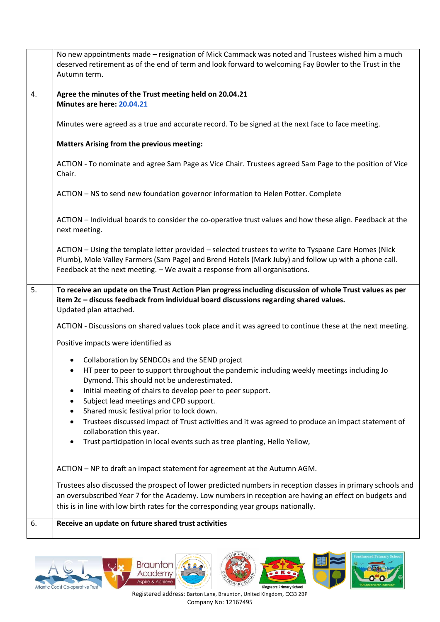|    | No new appointments made - resignation of Mick Cammack was noted and Trustees wished him a much<br>deserved retirement as of the end of term and look forward to welcoming Fay Bowler to the Trust in the<br>Autumn term.                                                                   |
|----|---------------------------------------------------------------------------------------------------------------------------------------------------------------------------------------------------------------------------------------------------------------------------------------------|
| 4. | Agree the minutes of the Trust meeting held on 20.04.21<br>Minutes are here: 20.04.21                                                                                                                                                                                                       |
|    | Minutes were agreed as a true and accurate record. To be signed at the next face to face meeting.                                                                                                                                                                                           |
|    | <b>Matters Arising from the previous meeting:</b>                                                                                                                                                                                                                                           |
|    | ACTION - To nominate and agree Sam Page as Vice Chair. Trustees agreed Sam Page to the position of Vice<br>Chair.                                                                                                                                                                           |
|    | ACTION - NS to send new foundation governor information to Helen Potter. Complete                                                                                                                                                                                                           |
|    | ACTION - Individual boards to consider the co-operative trust values and how these align. Feedback at the<br>next meeting.                                                                                                                                                                  |
|    | ACTION - Using the template letter provided - selected trustees to write to Tyspane Care Homes (Nick<br>Plumb), Mole Valley Farmers (Sam Page) and Brend Hotels (Mark Juby) and follow up with a phone call.<br>Feedback at the next meeting. - We await a response from all organisations. |
| 5. | To receive an update on the Trust Action Plan progress including discussion of whole Trust values as per<br>item 2c - discuss feedback from individual board discussions regarding shared values.<br>Updated plan attached.                                                                 |
|    | ACTION - Discussions on shared values took place and it was agreed to continue these at the next meeting.                                                                                                                                                                                   |
|    | Positive impacts were identified as                                                                                                                                                                                                                                                         |
|    | Collaboration by SENDCOs and the SEND project<br>HT peer to peer to support throughout the pandemic including weekly meetings including Jo<br>$\bullet$<br>Dymond. This should not be underestimated.                                                                                       |
|    | Initial meeting of chairs to develop peer to peer support.<br>Subject lead meetings and CPD support.                                                                                                                                                                                        |
|    | Shared music festival prior to lock down.                                                                                                                                                                                                                                                   |
|    | Trustees discussed impact of Trust activities and it was agreed to produce an impact statement of<br>collaboration this year.                                                                                                                                                               |
|    | Trust participation in local events such as tree planting, Hello Yellow,                                                                                                                                                                                                                    |
|    | ACTION - NP to draft an impact statement for agreement at the Autumn AGM.                                                                                                                                                                                                                   |
|    | Trustees also discussed the prospect of lower predicted numbers in reception classes in primary schools and                                                                                                                                                                                 |
|    | an oversubscribed Year 7 for the Academy. Low numbers in reception are having an effect on budgets and<br>this is in line with low birth rates for the corresponding year groups nationally.                                                                                                |
| 6. | Receive an update on future shared trust activities                                                                                                                                                                                                                                         |











Registered address: Barton Lane, Braunton, United Kingdom, EX33 2BP Company No: 12167495